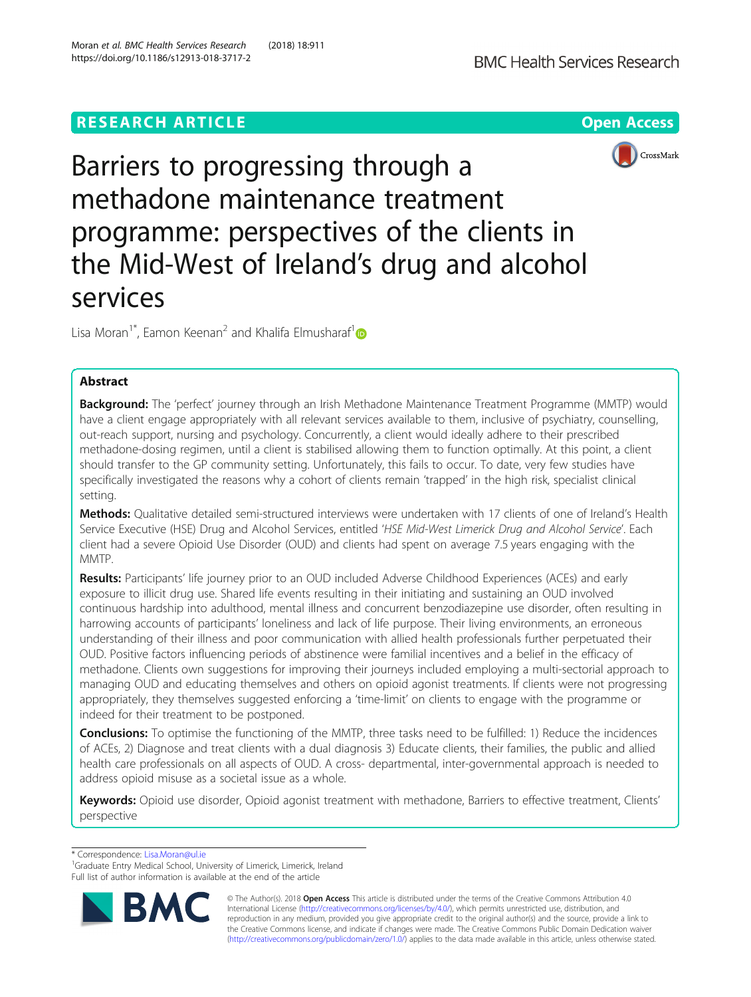# **RESEARCH ARTICLE Example 2018 12:30 THE Open Access**





Barriers to progressing through a methadone maintenance treatment programme: perspectives of the clients in the Mid-West of Ireland's drug and alcohol services

Lisa Moran<sup>[1](http://orcid.org/0000-0001-8652-1867)\*</sup>, Eamon Keenan<sup>2</sup> and Khalifa Elmusharaf<sup>1</sup>

## Abstract

Background: The 'perfect' journey through an Irish Methadone Maintenance Treatment Programme (MMTP) would have a client engage appropriately with all relevant services available to them, inclusive of psychiatry, counselling, out-reach support, nursing and psychology. Concurrently, a client would ideally adhere to their prescribed methadone-dosing regimen, until a client is stabilised allowing them to function optimally. At this point, a client should transfer to the GP community setting. Unfortunately, this fails to occur. To date, very few studies have specifically investigated the reasons why a cohort of clients remain 'trapped' in the high risk, specialist clinical setting.

Methods: Qualitative detailed semi-structured interviews were undertaken with 17 clients of one of Ireland's Health Service Executive (HSE) Drug and Alcohol Services, entitled 'HSE Mid-West Limerick Drug and Alcohol Service'. Each client had a severe Opioid Use Disorder (OUD) and clients had spent on average 7.5 years engaging with the MMTP.

Results: Participants' life journey prior to an OUD included Adverse Childhood Experiences (ACEs) and early exposure to illicit drug use. Shared life events resulting in their initiating and sustaining an OUD involved continuous hardship into adulthood, mental illness and concurrent benzodiazepine use disorder, often resulting in harrowing accounts of participants' loneliness and lack of life purpose. Their living environments, an erroneous understanding of their illness and poor communication with allied health professionals further perpetuated their OUD. Positive factors influencing periods of abstinence were familial incentives and a belief in the efficacy of methadone. Clients own suggestions for improving their journeys included employing a multi-sectorial approach to managing OUD and educating themselves and others on opioid agonist treatments. If clients were not progressing appropriately, they themselves suggested enforcing a 'time-limit' on clients to engage with the programme or indeed for their treatment to be postponed.

Conclusions: To optimise the functioning of the MMTP, three tasks need to be fulfilled: 1) Reduce the incidences of ACEs, 2) Diagnose and treat clients with a dual diagnosis 3) Educate clients, their families, the public and allied health care professionals on all aspects of OUD. A cross- departmental, inter-governmental approach is needed to address opioid misuse as a societal issue as a whole.

Keywords: Opioid use disorder, Opioid agonist treatment with methadone, Barriers to effective treatment, Clients' perspective

\* Correspondence: [Lisa.Moran@ul.ie](mailto:Lisa.Moran@ul.ie) <sup>1</sup>

<sup>1</sup>Graduate Entry Medical School, University of Limerick, Limerick, Ireland Full list of author information is available at the end of the article



© The Author(s). 2018 Open Access This article is distributed under the terms of the Creative Commons Attribution 4.0 International License [\(http://creativecommons.org/licenses/by/4.0/](http://creativecommons.org/licenses/by/4.0/)), which permits unrestricted use, distribution, and reproduction in any medium, provided you give appropriate credit to the original author(s) and the source, provide a link to the Creative Commons license, and indicate if changes were made. The Creative Commons Public Domain Dedication waiver [\(http://creativecommons.org/publicdomain/zero/1.0/](http://creativecommons.org/publicdomain/zero/1.0/)) applies to the data made available in this article, unless otherwise stated.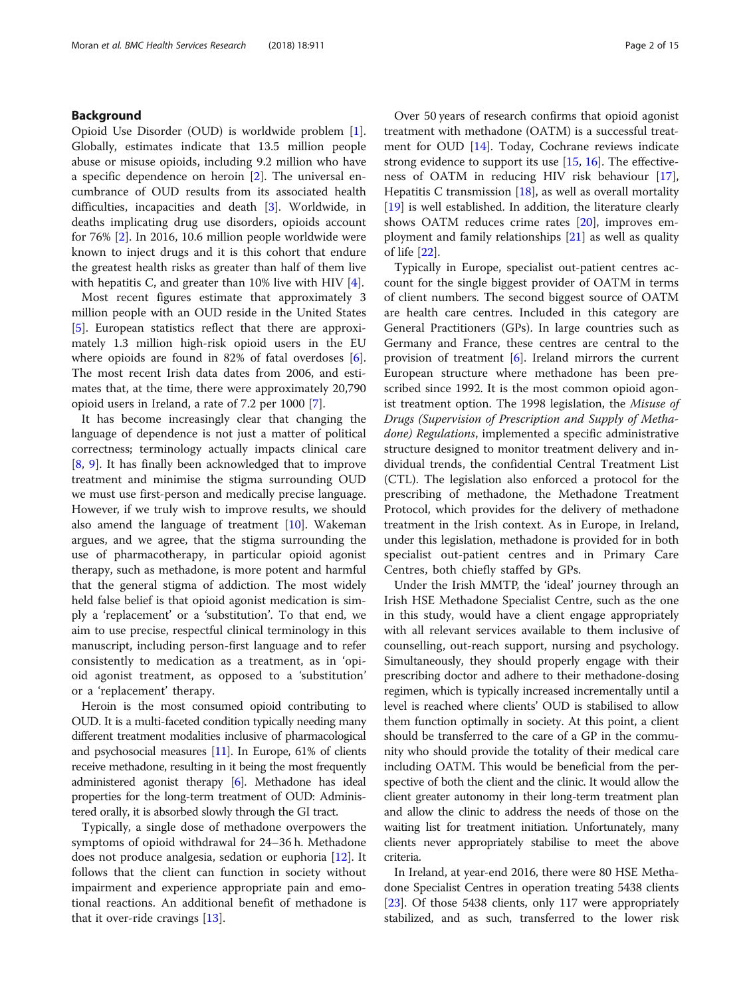## Background

Opioid Use Disorder (OUD) is worldwide problem [\[1](#page-13-0)]. Globally, estimates indicate that 13.5 million people abuse or misuse opioids, including 9.2 million who have a specific dependence on heroin [\[2](#page-13-0)]. The universal encumbrance of OUD results from its associated health difficulties, incapacities and death [[3\]](#page-13-0). Worldwide, in deaths implicating drug use disorders, opioids account for 76% [\[2](#page-13-0)]. In 2016, 10.6 million people worldwide were known to inject drugs and it is this cohort that endure the greatest health risks as greater than half of them live with hepatitis C, and greater than 10% live with HIV [[4\]](#page-13-0).

Most recent figures estimate that approximately 3 million people with an OUD reside in the United States [[5\]](#page-13-0). European statistics reflect that there are approximately 1.3 million high-risk opioid users in the EU where opioids are found in 82% of fatal overdoses [\[6](#page-13-0)]. The most recent Irish data dates from 2006, and estimates that, at the time, there were approximately 20,790 opioid users in Ireland, a rate of 7.2 per 1000 [[7\]](#page-13-0).

It has become increasingly clear that changing the language of dependence is not just a matter of political correctness; terminology actually impacts clinical care [[8,](#page-13-0) [9\]](#page-13-0). It has finally been acknowledged that to improve treatment and minimise the stigma surrounding OUD we must use first-person and medically precise language. However, if we truly wish to improve results, we should also amend the language of treatment [[10\]](#page-13-0). Wakeman argues, and we agree, that the stigma surrounding the use of pharmacotherapy, in particular opioid agonist therapy, such as methadone, is more potent and harmful that the general stigma of addiction. The most widely held false belief is that opioid agonist medication is simply a 'replacement' or a 'substitution'. To that end, we aim to use precise, respectful clinical terminology in this manuscript, including person-first language and to refer consistently to medication as a treatment, as in 'opioid agonist treatment, as opposed to a 'substitution' or a 'replacement' therapy.

Heroin is the most consumed opioid contributing to OUD. It is a multi-faceted condition typically needing many different treatment modalities inclusive of pharmacological and psychosocial measures [\[11\]](#page-13-0). In Europe, 61% of clients receive methadone, resulting in it being the most frequently administered agonist therapy [\[6\]](#page-13-0). Methadone has ideal properties for the long-term treatment of OUD: Administered orally, it is absorbed slowly through the GI tract.

Typically, a single dose of methadone overpowers the symptoms of opioid withdrawal for 24–36 h. Methadone does not produce analgesia, sedation or euphoria [[12\]](#page-13-0). It follows that the client can function in society without impairment and experience appropriate pain and emotional reactions. An additional benefit of methadone is that it over-ride cravings [[13\]](#page-13-0).

Over 50 years of research confirms that opioid agonist treatment with methadone (OATM) is a successful treatment for OUD [\[14\]](#page-13-0). Today, Cochrane reviews indicate strong evidence to support its use [\[15](#page-13-0), [16](#page-13-0)]. The effectiveness of OATM in reducing HIV risk behaviour [\[17](#page-13-0)], Hepatitis C transmission  $[18]$  $[18]$ , as well as overall mortality [[19\]](#page-13-0) is well established. In addition, the literature clearly shows OATM reduces crime rates [\[20](#page-13-0)], improves employment and family relationships [[21](#page-13-0)] as well as quality of life [\[22\]](#page-13-0).

Typically in Europe, specialist out-patient centres account for the single biggest provider of OATM in terms of client numbers. The second biggest source of OATM are health care centres. Included in this category are General Practitioners (GPs). In large countries such as Germany and France, these centres are central to the provision of treatment [\[6](#page-13-0)]. Ireland mirrors the current European structure where methadone has been prescribed since 1992. It is the most common opioid agonist treatment option. The 1998 legislation, the Misuse of Drugs (Supervision of Prescription and Supply of Methadone) Regulations, implemented a specific administrative structure designed to monitor treatment delivery and individual trends, the confidential Central Treatment List (CTL). The legislation also enforced a protocol for the prescribing of methadone, the Methadone Treatment Protocol, which provides for the delivery of methadone treatment in the Irish context. As in Europe, in Ireland, under this legislation, methadone is provided for in both specialist out-patient centres and in Primary Care Centres, both chiefly staffed by GPs.

Under the Irish MMTP, the 'ideal' journey through an Irish HSE Methadone Specialist Centre, such as the one in this study, would have a client engage appropriately with all relevant services available to them inclusive of counselling, out-reach support, nursing and psychology. Simultaneously, they should properly engage with their prescribing doctor and adhere to their methadone-dosing regimen, which is typically increased incrementally until a level is reached where clients' OUD is stabilised to allow them function optimally in society. At this point, a client should be transferred to the care of a GP in the community who should provide the totality of their medical care including OATM. This would be beneficial from the perspective of both the client and the clinic. It would allow the client greater autonomy in their long-term treatment plan and allow the clinic to address the needs of those on the waiting list for treatment initiation. Unfortunately, many clients never appropriately stabilise to meet the above criteria.

In Ireland, at year-end 2016, there were 80 HSE Methadone Specialist Centres in operation treating 5438 clients [[23](#page-13-0)]. Of those 5438 clients, only 117 were appropriately stabilized, and as such, transferred to the lower risk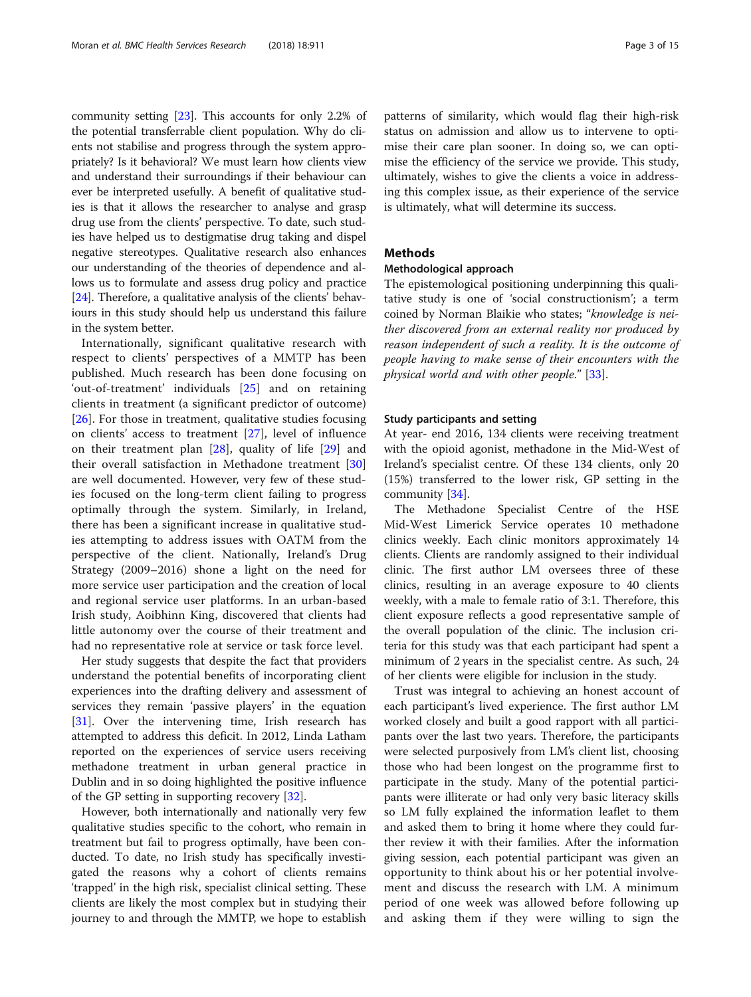community setting [\[23\]](#page-13-0). This accounts for only 2.2% of the potential transferrable client population. Why do clients not stabilise and progress through the system appropriately? Is it behavioral? We must learn how clients view and understand their surroundings if their behaviour can ever be interpreted usefully. A benefit of qualitative studies is that it allows the researcher to analyse and grasp drug use from the clients' perspective. To date, such studies have helped us to destigmatise drug taking and dispel negative stereotypes. Qualitative research also enhances our understanding of the theories of dependence and allows us to formulate and assess drug policy and practice [[24](#page-13-0)]. Therefore, a qualitative analysis of the clients' behaviours in this study should help us understand this failure in the system better.

Internationally, significant qualitative research with respect to clients' perspectives of a MMTP has been published. Much research has been done focusing on 'out-of-treatment' individuals [[25](#page-13-0)] and on retaining clients in treatment (a significant predictor of outcome) [[26\]](#page-13-0). For those in treatment, qualitative studies focusing on clients' access to treatment [[27\]](#page-13-0), level of influence on their treatment plan [[28](#page-13-0)], quality of life [[29](#page-13-0)] and their overall satisfaction in Methadone treatment [\[30](#page-13-0)] are well documented. However, very few of these studies focused on the long-term client failing to progress optimally through the system. Similarly, in Ireland, there has been a significant increase in qualitative studies attempting to address issues with OATM from the perspective of the client. Nationally, Ireland's Drug Strategy (2009–2016) shone a light on the need for more service user participation and the creation of local and regional service user platforms. In an urban-based Irish study, Aoibhinn King, discovered that clients had little autonomy over the course of their treatment and had no representative role at service or task force level.

Her study suggests that despite the fact that providers understand the potential benefits of incorporating client experiences into the drafting delivery and assessment of services they remain 'passive players' in the equation [[31\]](#page-13-0). Over the intervening time, Irish research has attempted to address this deficit. In 2012, Linda Latham reported on the experiences of service users receiving methadone treatment in urban general practice in Dublin and in so doing highlighted the positive influence of the GP setting in supporting recovery [\[32\]](#page-13-0).

However, both internationally and nationally very few qualitative studies specific to the cohort, who remain in treatment but fail to progress optimally, have been conducted. To date, no Irish study has specifically investigated the reasons why a cohort of clients remains 'trapped' in the high risk, specialist clinical setting. These clients are likely the most complex but in studying their journey to and through the MMTP, we hope to establish patterns of similarity, which would flag their high-risk status on admission and allow us to intervene to optimise their care plan sooner. In doing so, we can optimise the efficiency of the service we provide. This study, ultimately, wishes to give the clients a voice in addressing this complex issue, as their experience of the service is ultimately, what will determine its success.

## **Methods**

### Methodological approach

The epistemological positioning underpinning this qualitative study is one of 'social constructionism'; a term coined by Norman Blaikie who states; "knowledge is neither discovered from an external reality nor produced by reason independent of such a reality. It is the outcome of people having to make sense of their encounters with the physical world and with other people." [\[33](#page-13-0)].

### Study participants and setting

At year- end 2016, 134 clients were receiving treatment with the opioid agonist, methadone in the Mid-West of Ireland's specialist centre. Of these 134 clients, only 20 (15%) transferred to the lower risk, GP setting in the community [[34](#page-13-0)].

The Methadone Specialist Centre of the HSE Mid-West Limerick Service operates 10 methadone clinics weekly. Each clinic monitors approximately 14 clients. Clients are randomly assigned to their individual clinic. The first author LM oversees three of these clinics, resulting in an average exposure to 40 clients weekly, with a male to female ratio of 3:1. Therefore, this client exposure reflects a good representative sample of the overall population of the clinic. The inclusion criteria for this study was that each participant had spent a minimum of 2 years in the specialist centre. As such, 24 of her clients were eligible for inclusion in the study.

Trust was integral to achieving an honest account of each participant's lived experience. The first author LM worked closely and built a good rapport with all participants over the last two years. Therefore, the participants were selected purposively from LM's client list, choosing those who had been longest on the programme first to participate in the study. Many of the potential participants were illiterate or had only very basic literacy skills so LM fully explained the information leaflet to them and asked them to bring it home where they could further review it with their families. After the information giving session, each potential participant was given an opportunity to think about his or her potential involvement and discuss the research with LM. A minimum period of one week was allowed before following up and asking them if they were willing to sign the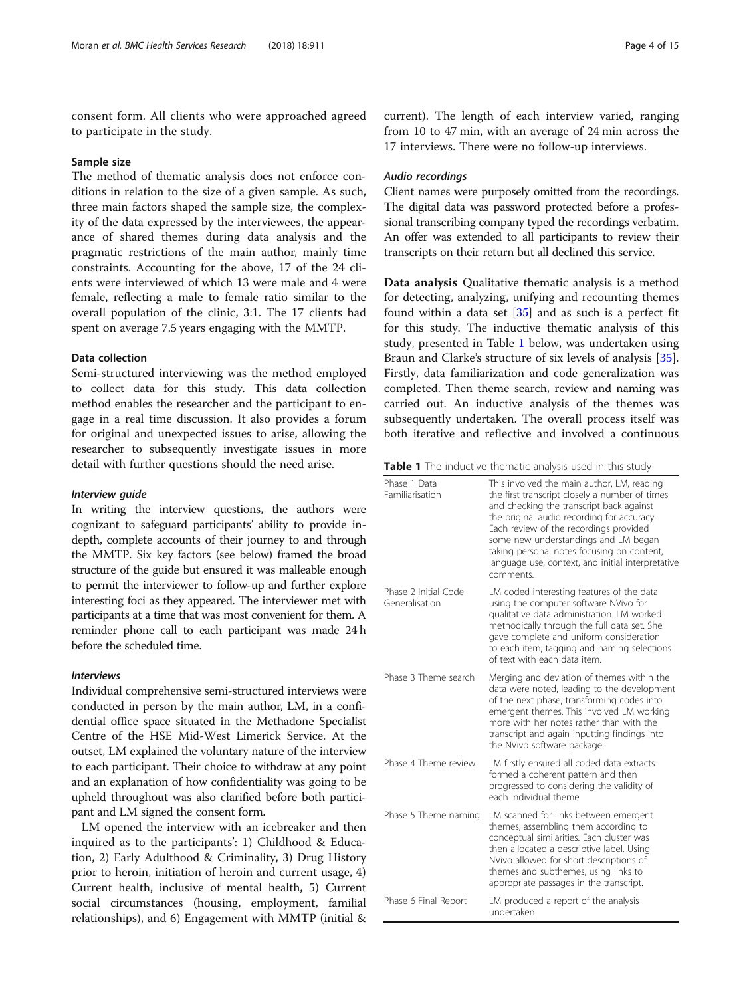consent form. All clients who were approached agreed to participate in the study.

#### Sample size

The method of thematic analysis does not enforce conditions in relation to the size of a given sample. As such, three main factors shaped the sample size, the complexity of the data expressed by the interviewees, the appearance of shared themes during data analysis and the pragmatic restrictions of the main author, mainly time constraints. Accounting for the above, 17 of the 24 clients were interviewed of which 13 were male and 4 were female, reflecting a male to female ratio similar to the overall population of the clinic, 3:1. The 17 clients had spent on average 7.5 years engaging with the MMTP.

## Data collection

Semi-structured interviewing was the method employed to collect data for this study. This data collection method enables the researcher and the participant to engage in a real time discussion. It also provides a forum for original and unexpected issues to arise, allowing the researcher to subsequently investigate issues in more detail with further questions should the need arise.

### Interview guide

In writing the interview questions, the authors were cognizant to safeguard participants' ability to provide indepth, complete accounts of their journey to and through the MMTP. Six key factors (see below) framed the broad structure of the guide but ensured it was malleable enough to permit the interviewer to follow-up and further explore interesting foci as they appeared. The interviewer met with participants at a time that was most convenient for them. A reminder phone call to each participant was made 24 h before the scheduled time.

### Interviews

Individual comprehensive semi-structured interviews were conducted in person by the main author, LM, in a confidential office space situated in the Methadone Specialist Centre of the HSE Mid-West Limerick Service. At the outset, LM explained the voluntary nature of the interview to each participant. Their choice to withdraw at any point and an explanation of how confidentiality was going to be upheld throughout was also clarified before both participant and LM signed the consent form.

LM opened the interview with an icebreaker and then inquired as to the participants': 1) Childhood & Education, 2) Early Adulthood & Criminality, 3) Drug History prior to heroin, initiation of heroin and current usage, 4) Current health, inclusive of mental health, 5) Current social circumstances (housing, employment, familial relationships), and 6) Engagement with MMTP (initial & current). The length of each interview varied, ranging from 10 to 47 min, with an average of 24 min across the 17 interviews. There were no follow-up interviews.

### Audio recordings

Client names were purposely omitted from the recordings. The digital data was password protected before a professional transcribing company typed the recordings verbatim. An offer was extended to all participants to review their transcripts on their return but all declined this service.

Data analysis Qualitative thematic analysis is a method for detecting, analyzing, unifying and recounting themes found within a data set [[35](#page-13-0)] and as such is a perfect fit for this study. The inductive thematic analysis of this study, presented in Table 1 below, was undertaken using Braun and Clarke's structure of six levels of analysis [\[35](#page-13-0)]. Firstly, data familiarization and code generalization was completed. Then theme search, review and naming was carried out. An inductive analysis of the themes was subsequently undertaken. The overall process itself was both iterative and reflective and involved a continuous

Table 1 The inductive thematic analysis used in this study

| Phase 1 Data<br>Familiarisation        | This involved the main author, LM, reading<br>the first transcript closely a number of times<br>and checking the transcript back against<br>the original audio recording for accuracy.<br>Each review of the recordings provided<br>some new understandings and LM began<br>taking personal notes focusing on content,<br>language use, context, and initial interpretative<br>comments. |
|----------------------------------------|------------------------------------------------------------------------------------------------------------------------------------------------------------------------------------------------------------------------------------------------------------------------------------------------------------------------------------------------------------------------------------------|
| Phase 2 Initial Code<br>Generalisation | LM coded interesting features of the data<br>using the computer software NVivo for<br>qualitative data administration. LM worked<br>methodically through the full data set. She<br>gave complete and uniform consideration<br>to each item, tagging and naming selections<br>of text with each data item.                                                                                |
| Phase 3 Theme search                   | Merging and deviation of themes within the<br>data were noted, leading to the development<br>of the next phase, transforming codes into<br>emergent themes. This involved LM working<br>more with her notes rather than with the<br>transcript and again inputting findings into<br>the NVivo software package.                                                                          |
| Phase 4 Theme review                   | LM firstly ensured all coded data extracts<br>formed a coherent pattern and then<br>progressed to considering the validity of<br>each individual theme                                                                                                                                                                                                                                   |
| Phase 5 Theme naming                   | LM scanned for links between emergent<br>themes, assembling them according to<br>conceptual similarities. Each cluster was<br>then allocated a descriptive label. Using<br>NVivo allowed for short descriptions of<br>themes and subthemes, using links to<br>appropriate passages in the transcript.                                                                                    |
| Phase 6 Final Report                   | LM produced a report of the analysis<br>undertaken.                                                                                                                                                                                                                                                                                                                                      |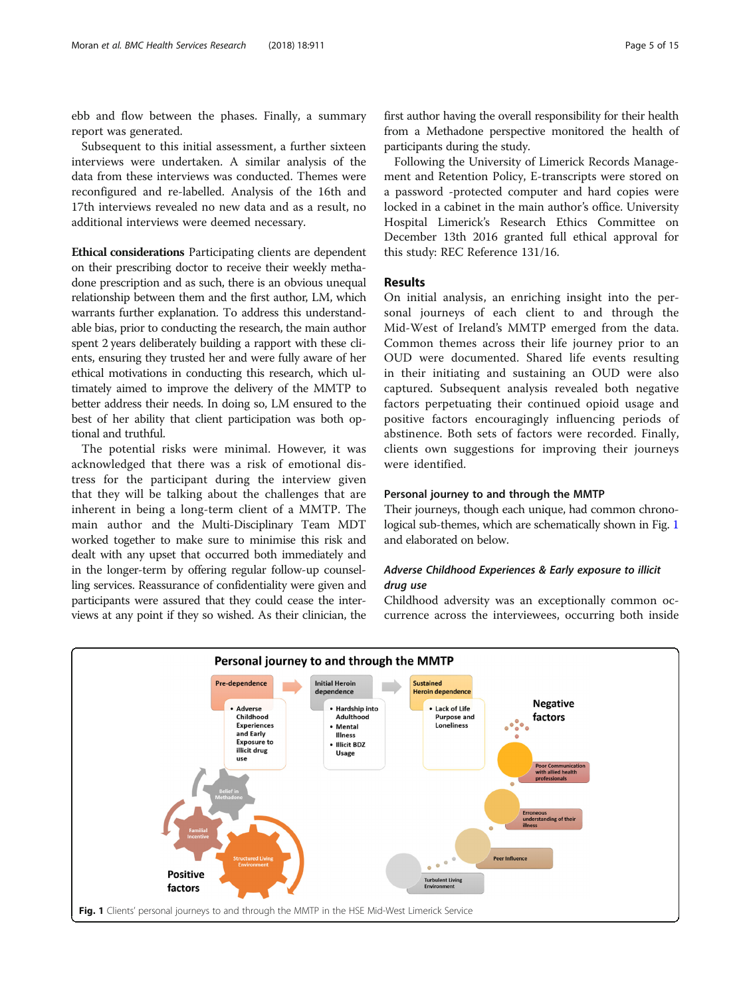ebb and flow between the phases. Finally, a summary report was generated.

Subsequent to this initial assessment, a further sixteen interviews were undertaken. A similar analysis of the data from these interviews was conducted. Themes were reconfigured and re-labelled. Analysis of the 16th and 17th interviews revealed no new data and as a result, no additional interviews were deemed necessary.

Ethical considerations Participating clients are dependent on their prescribing doctor to receive their weekly methadone prescription and as such, there is an obvious unequal relationship between them and the first author, LM, which warrants further explanation. To address this understandable bias, prior to conducting the research, the main author spent 2 years deliberately building a rapport with these clients, ensuring they trusted her and were fully aware of her ethical motivations in conducting this research, which ultimately aimed to improve the delivery of the MMTP to better address their needs. In doing so, LM ensured to the best of her ability that client participation was both optional and truthful.

The potential risks were minimal. However, it was acknowledged that there was a risk of emotional distress for the participant during the interview given that they will be talking about the challenges that are inherent in being a long-term client of a MMTP. The main author and the Multi-Disciplinary Team MDT worked together to make sure to minimise this risk and dealt with any upset that occurred both immediately and in the longer-term by offering regular follow-up counselling services. Reassurance of confidentiality were given and participants were assured that they could cease the interviews at any point if they so wished. As their clinician, the

Following the University of Limerick Records Management and Retention Policy, E-transcripts were stored on a password -protected computer and hard copies were locked in a cabinet in the main author's office. University Hospital Limerick's Research Ethics Committee on December 13th 2016 granted full ethical approval for this study: REC Reference 131/16.

### Results

On initial analysis, an enriching insight into the personal journeys of each client to and through the Mid-West of Ireland's MMTP emerged from the data. Common themes across their life journey prior to an OUD were documented. Shared life events resulting in their initiating and sustaining an OUD were also captured. Subsequent analysis revealed both negative factors perpetuating their continued opioid usage and positive factors encouragingly influencing periods of abstinence. Both sets of factors were recorded. Finally, clients own suggestions for improving their journeys were identified.

### Personal journey to and through the MMTP

Their journeys, though each unique, had common chronological sub-themes, which are schematically shown in Fig. 1 and elaborated on below.

## Adverse Childhood Experiences & Early exposure to illicit drug use

Childhood adversity was an exceptionally common occurrence across the interviewees, occurring both inside

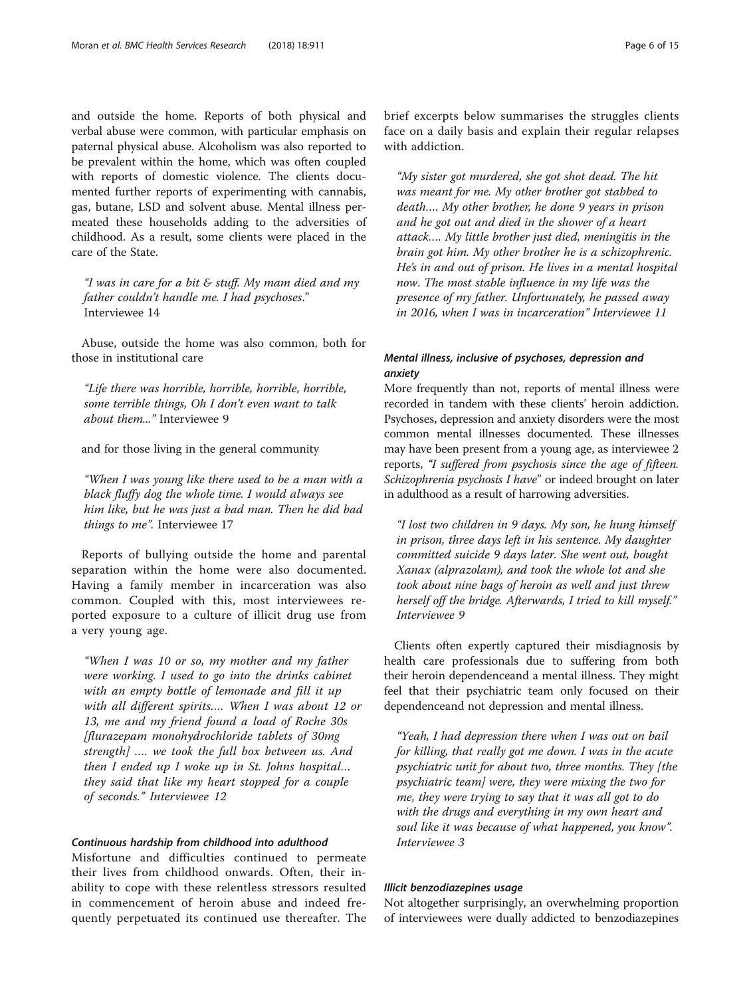and outside the home. Reports of both physical and verbal abuse were common, with particular emphasis on paternal physical abuse. Alcoholism was also reported to be prevalent within the home, which was often coupled with reports of domestic violence. The clients documented further reports of experimenting with cannabis, gas, butane, LSD and solvent abuse. Mental illness permeated these households adding to the adversities of childhood. As a result, some clients were placed in the care of the State.

"I was in care for a bit & stuff. My mam died and my father couldn't handle me. I had psychoses." Interviewee 14

Abuse, outside the home was also common, both for those in institutional care

"Life there was horrible, horrible, horrible, horrible, some terrible things, Oh I don't even want to talk about them..." Interviewee 9

and for those living in the general community

"When I was young like there used to be a man with a black fluffy dog the whole time. I would always see him like, but he was just a bad man. Then he did bad things to me". Interviewee 17

Reports of bullying outside the home and parental separation within the home were also documented. Having a family member in incarceration was also common. Coupled with this, most interviewees reported exposure to a culture of illicit drug use from a very young age.

"When I was 10 or so, my mother and my father were working. I used to go into the drinks cabinet with an empty bottle of lemonade and fill it up with all different spirits.... When I was about 12 or 13, me and my friend found a load of Roche 30s [flurazepam monohydrochloride tablets of 30mg strength] …. we took the full box between us. And then I ended up I woke up in St. Johns hospital… they said that like my heart stopped for a couple of seconds." Interviewee 12

#### Continuous hardship from childhood into adulthood

Misfortune and difficulties continued to permeate their lives from childhood onwards. Often, their inability to cope with these relentless stressors resulted in commencement of heroin abuse and indeed frequently perpetuated its continued use thereafter. The

brief excerpts below summarises the struggles clients face on a daily basis and explain their regular relapses with addiction.

"My sister got murdered, she got shot dead. The hit was meant for me. My other brother got stabbed to death…. My other brother, he done 9 years in prison and he got out and died in the shower of a heart attack…. My little brother just died, meningitis in the brain got him. My other brother he is a schizophrenic. He's in and out of prison. He lives in a mental hospital now. The most stable influence in my life was the presence of my father. Unfortunately, he passed away in 2016, when I was in incarceration" Interviewee 11

## Mental illness, inclusive of psychoses, depression and anxiety

More frequently than not, reports of mental illness were recorded in tandem with these clients' heroin addiction. Psychoses, depression and anxiety disorders were the most common mental illnesses documented. These illnesses may have been present from a young age, as interviewee 2 reports, "I suffered from psychosis since the age of fifteen. Schizophrenia psychosis I have" or indeed brought on later in adulthood as a result of harrowing adversities.

"I lost two children in 9 days. My son, he hung himself in prison, three days left in his sentence. My daughter committed suicide 9 days later. She went out, bought Xanax (alprazolam), and took the whole lot and she took about nine bags of heroin as well and just threw herself off the bridge. Afterwards, I tried to kill myself." Interviewee 9

Clients often expertly captured their misdiagnosis by health care professionals due to suffering from both their heroin dependenceand a mental illness. They might feel that their psychiatric team only focused on their dependenceand not depression and mental illness.

"Yeah, I had depression there when I was out on bail for killing, that really got me down. I was in the acute psychiatric unit for about two, three months. They [the psychiatric team] were, they were mixing the two for me, they were trying to say that it was all got to do with the drugs and everything in my own heart and soul like it was because of what happened, you know". Interviewee 3

### Illicit benzodiazepines usage

Not altogether surprisingly, an overwhelming proportion of interviewees were dually addicted to benzodiazepines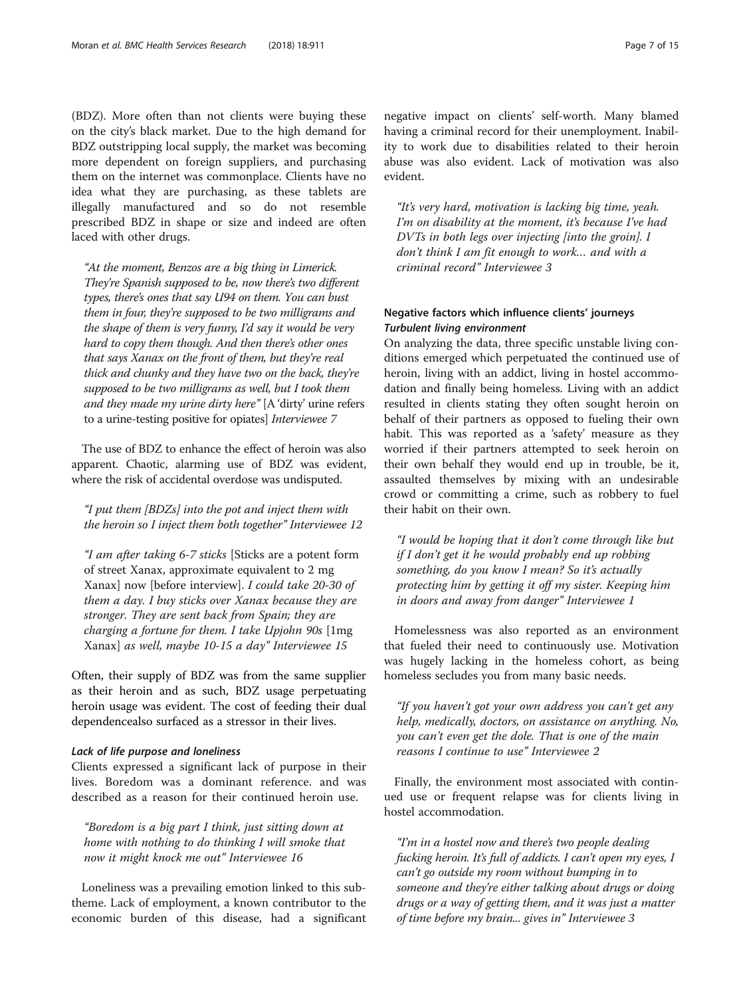(BDZ). More often than not clients were buying these on the city's black market. Due to the high demand for BDZ outstripping local supply, the market was becoming more dependent on foreign suppliers, and purchasing them on the internet was commonplace. Clients have no idea what they are purchasing, as these tablets are illegally manufactured and so do not resemble prescribed BDZ in shape or size and indeed are often laced with other drugs.

"At the moment, Benzos are a big thing in Limerick. They're Spanish supposed to be, now there's two different types, there's ones that say U94 on them. You can bust them in four, they're supposed to be two milligrams and the shape of them is very funny, I'd say it would be very hard to copy them though. And then there's other ones that says Xanax on the front of them, but they're real thick and chunky and they have two on the back, they're supposed to be two milligrams as well, but I took them and they made my urine dirty here" [A 'dirty' urine refers to a urine-testing positive for opiates] Interviewee 7

The use of BDZ to enhance the effect of heroin was also apparent. Chaotic, alarming use of BDZ was evident, where the risk of accidental overdose was undisputed.

"I put them [BDZs] into the pot and inject them with the heroin so I inject them both together" Interviewee 12

"I am after taking 6-7 sticks [Sticks are a potent form of street Xanax, approximate equivalent to 2 mg Xanax] now [before interview]. I could take 20-30 of them a day. I buy sticks over Xanax because they are stronger. They are sent back from Spain; they are charging a fortune for them. I take Upjohn 90s [1mg Xanax] as well, maybe 10-15 a day" Interviewee 15

Often, their supply of BDZ was from the same supplier as their heroin and as such, BDZ usage perpetuating heroin usage was evident. The cost of feeding their dual dependencealso surfaced as a stressor in their lives.

## Lack of life purpose and loneliness

Clients expressed a significant lack of purpose in their lives. Boredom was a dominant reference. and was described as a reason for their continued heroin use.

"Boredom is a big part I think, just sitting down at home with nothing to do thinking I will smoke that now it might knock me out" Interviewee 16

Loneliness was a prevailing emotion linked to this subtheme. Lack of employment, a known contributor to the economic burden of this disease, had a significant

negative impact on clients' self-worth. Many blamed having a criminal record for their unemployment. Inability to work due to disabilities related to their heroin abuse was also evident. Lack of motivation was also evident.

"It's very hard, motivation is lacking big time, yeah. I'm on disability at the moment, it's because I've had DVTs in both legs over injecting [into the groin]. I don't think I am fit enough to work… and with a criminal record" Interviewee 3

## Negative factors which influence clients' journeys Turbulent living environment

On analyzing the data, three specific unstable living conditions emerged which perpetuated the continued use of heroin, living with an addict, living in hostel accommodation and finally being homeless. Living with an addict resulted in clients stating they often sought heroin on behalf of their partners as opposed to fueling their own habit. This was reported as a 'safety' measure as they worried if their partners attempted to seek heroin on their own behalf they would end up in trouble, be it, assaulted themselves by mixing with an undesirable crowd or committing a crime, such as robbery to fuel their habit on their own.

"I would be hoping that it don't come through like but if I don't get it he would probably end up robbing something, do you know I mean? So it's actually protecting him by getting it off my sister. Keeping him in doors and away from danger" Interviewee 1

Homelessness was also reported as an environment that fueled their need to continuously use. Motivation was hugely lacking in the homeless cohort, as being homeless secludes you from many basic needs.

"If you haven't got your own address you can't get any help, medically, doctors, on assistance on anything. No, you can't even get the dole. That is one of the main reasons I continue to use" Interviewee 2

Finally, the environment most associated with continued use or frequent relapse was for clients living in hostel accommodation.

"I'm in a hostel now and there's two people dealing fucking heroin. It's full of addicts. I can't open my eyes, I can't go outside my room without bumping in to someone and they're either talking about drugs or doing drugs or a way of getting them, and it was just a matter of time before my brain... gives in" Interviewee 3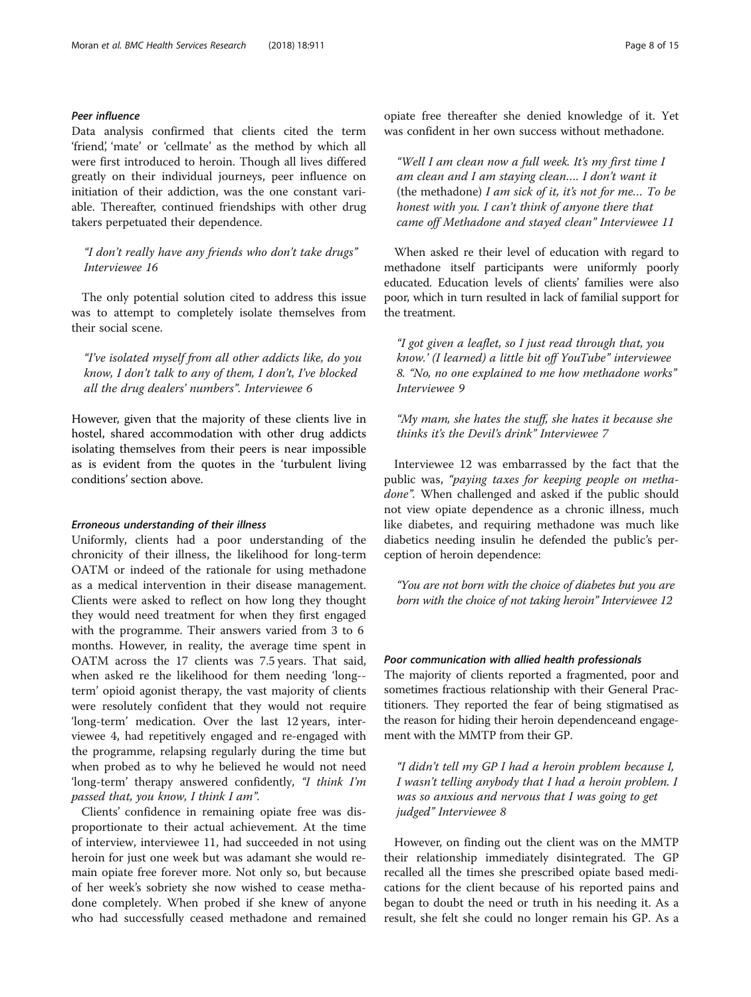### Peer influence

Data analysis confirmed that clients cited the term 'friend', 'mate' or 'cellmate' as the method by which all were first introduced to heroin. Though all lives differed greatly on their individual journeys, peer influence on initiation of their addiction, was the one constant variable. Thereafter, continued friendships with other drug takers perpetuated their dependence.

"I don't really have any friends who don't take drugs" Interviewee 16

The only potential solution cited to address this issue was to attempt to completely isolate themselves from their social scene.

"I've isolated myself from all other addicts like, do you know, I don't talk to any of them, I don't, I've blocked all the drug dealers' numbers". Interviewee 6

However, given that the majority of these clients live in hostel, shared accommodation with other drug addicts isolating themselves from their peers is near impossible as is evident from the quotes in the 'turbulent living conditions' section above.

#### Erroneous understanding of their illness

Uniformly, clients had a poor understanding of the chronicity of their illness, the likelihood for long-term OATM or indeed of the rationale for using methadone as a medical intervention in their disease management. Clients were asked to reflect on how long they thought they would need treatment for when they first engaged with the programme. Their answers varied from 3 to 6 months. However, in reality, the average time spent in OATM across the 17 clients was 7.5 years. That said, when asked re the likelihood for them needing 'long- term' opioid agonist therapy, the vast majority of clients were resolutely confident that they would not require 'long-term' medication. Over the last 12 years, interviewee 4, had repetitively engaged and re-engaged with the programme, relapsing regularly during the time but when probed as to why he believed he would not need 'long-term' therapy answered confidently, "I think I'm passed that, you know, I think I am".

Clients' confidence in remaining opiate free was disproportionate to their actual achievement. At the time of interview, interviewee 11, had succeeded in not using heroin for just one week but was adamant she would remain opiate free forever more. Not only so, but because of her week's sobriety she now wished to cease methadone completely. When probed if she knew of anyone who had successfully ceased methadone and remained opiate free thereafter she denied knowledge of it. Yet was confident in her own success without methadone.

"Well I am clean now a full week. It's my first time I am clean and I am staying clean…. I don't want it (the methadone) I am sick of it, it's not for me… To be honest with you. I can't think of anyone there that came off Methadone and stayed clean" Interviewee 11

When asked re their level of education with regard to methadone itself participants were uniformly poorly educated. Education levels of clients' families were also poor, which in turn resulted in lack of familial support for the treatment.

"I got given a leaflet, so I just read through that, you know.' (I learned) a little bit off YouTube" interviewee 8. "No, no one explained to me how methadone works" Interviewee 9

"My mam, she hates the stuff, she hates it because she thinks it's the Devil's drink" Interviewee 7

Interviewee 12 was embarrassed by the fact that the public was, "paying taxes for keeping people on methadone". When challenged and asked if the public should not view opiate dependence as a chronic illness, much like diabetes, and requiring methadone was much like diabetics needing insulin he defended the public's perception of heroin dependence:

"You are not born with the choice of diabetes but you are born with the choice of not taking heroin" Interviewee 12

#### Poor communication with allied health professionals

The majority of clients reported a fragmented, poor and sometimes fractious relationship with their General Practitioners. They reported the fear of being stigmatised as the reason for hiding their heroin dependenceand engagement with the MMTP from their GP.

"I didn't tell my GP I had a heroin problem because I, I wasn't telling anybody that I had a heroin problem. I was so anxious and nervous that I was going to get judged" Interviewee 8

However, on finding out the client was on the MMTP their relationship immediately disintegrated. The GP recalled all the times she prescribed opiate based medications for the client because of his reported pains and began to doubt the need or truth in his needing it. As a result, she felt she could no longer remain his GP. As a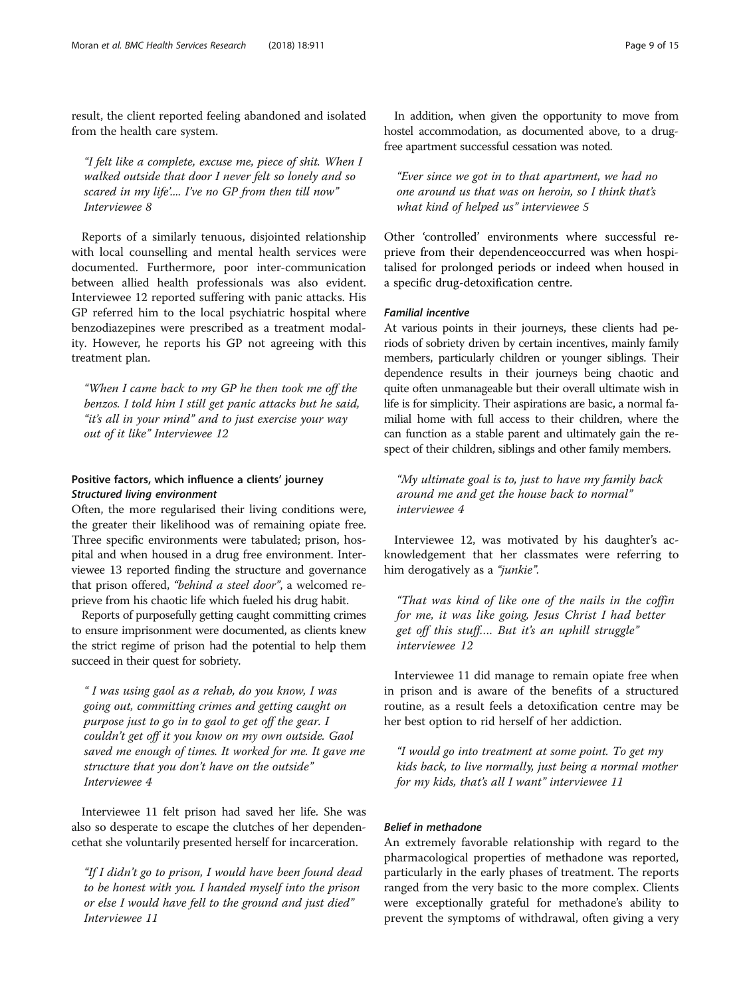result, the client reported feeling abandoned and isolated from the health care system.

"I felt like a complete, excuse me, piece of shit. When I walked outside that door I never felt so lonely and so scared in my life'.... I've no GP from then till now" Interviewee 8

Reports of a similarly tenuous, disjointed relationship with local counselling and mental health services were documented. Furthermore, poor inter-communication between allied health professionals was also evident. Interviewee 12 reported suffering with panic attacks. His GP referred him to the local psychiatric hospital where benzodiazepines were prescribed as a treatment modality. However, he reports his GP not agreeing with this treatment plan.

"When I came back to my GP he then took me off the benzos. I told him I still get panic attacks but he said, "it's all in your mind" and to just exercise your way out of it like" Interviewee 12

## Positive factors, which influence a clients' journey Structured living environment

Often, the more regularised their living conditions were, the greater their likelihood was of remaining opiate free. Three specific environments were tabulated; prison, hospital and when housed in a drug free environment. Interviewee 13 reported finding the structure and governance that prison offered, "behind a steel door", a welcomed reprieve from his chaotic life which fueled his drug habit.

Reports of purposefully getting caught committing crimes to ensure imprisonment were documented, as clients knew the strict regime of prison had the potential to help them succeed in their quest for sobriety.

" I was using gaol as a rehab, do you know, I was going out, committing crimes and getting caught on purpose just to go in to gaol to get off the gear. I couldn't get off it you know on my own outside. Gaol saved me enough of times. It worked for me. It gave me structure that you don't have on the outside" Interviewee 4

Interviewee 11 felt prison had saved her life. She was also so desperate to escape the clutches of her dependencethat she voluntarily presented herself for incarceration.

"If I didn't go to prison, I would have been found dead to be honest with you. I handed myself into the prison or else I would have fell to the ground and just died" Interviewee 11

In addition, when given the opportunity to move from hostel accommodation, as documented above, to a drugfree apartment successful cessation was noted.

"Ever since we got in to that apartment, we had no one around us that was on heroin, so I think that's what kind of helped us" interviewee 5

Other 'controlled' environments where successful reprieve from their dependenceoccurred was when hospitalised for prolonged periods or indeed when housed in a specific drug-detoxification centre.

#### Familial incentive

At various points in their journeys, these clients had periods of sobriety driven by certain incentives, mainly family members, particularly children or younger siblings. Their dependence results in their journeys being chaotic and quite often unmanageable but their overall ultimate wish in life is for simplicity. Their aspirations are basic, a normal familial home with full access to their children, where the can function as a stable parent and ultimately gain the respect of their children, siblings and other family members.

"My ultimate goal is to, just to have my family back around me and get the house back to normal" interviewee 4

Interviewee 12, was motivated by his daughter's acknowledgement that her classmates were referring to him derogatively as a "junkie".

"That was kind of like one of the nails in the coffin for me, it was like going, Jesus Christ I had better get off this stuff…. But it's an uphill struggle" interviewee 12

Interviewee 11 did manage to remain opiate free when in prison and is aware of the benefits of a structured routine, as a result feels a detoxification centre may be her best option to rid herself of her addiction.

"I would go into treatment at some point. To get my kids back, to live normally, just being a normal mother for my kids, that's all I want" interviewee 11

### Belief in methadone

An extremely favorable relationship with regard to the pharmacological properties of methadone was reported, particularly in the early phases of treatment. The reports ranged from the very basic to the more complex. Clients were exceptionally grateful for methadone's ability to prevent the symptoms of withdrawal, often giving a very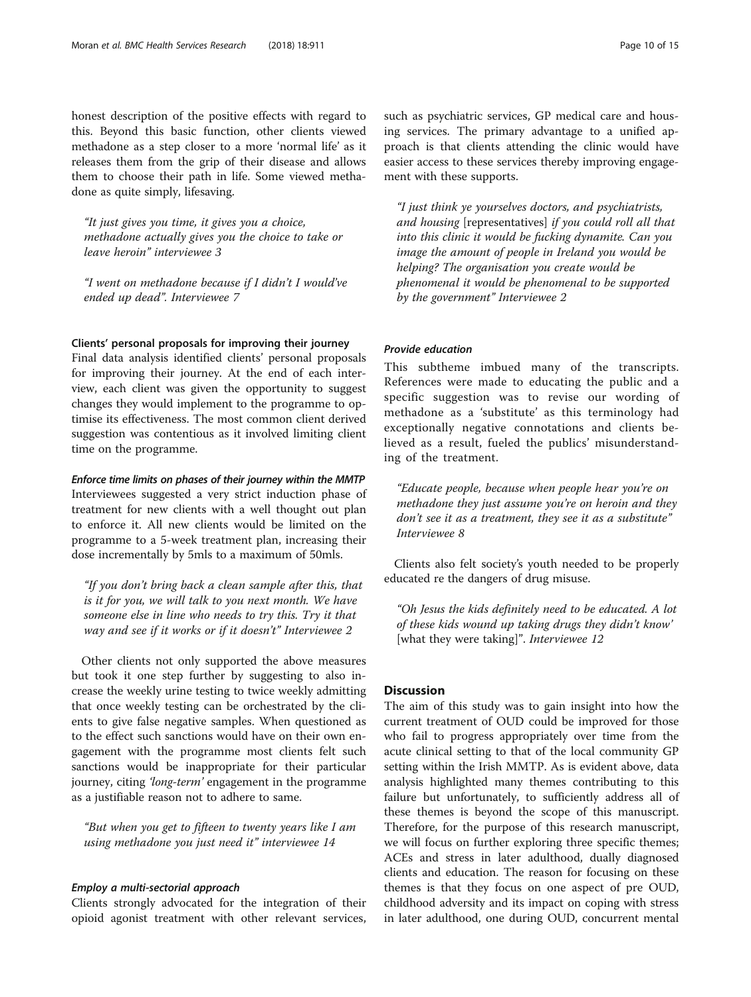honest description of the positive effects with regard to this. Beyond this basic function, other clients viewed methadone as a step closer to a more 'normal life' as it releases them from the grip of their disease and allows them to choose their path in life. Some viewed methadone as quite simply, lifesaving.

"It just gives you time, it gives you a choice, methadone actually gives you the choice to take or leave heroin" interviewee 3

"I went on methadone because if I didn't I would've ended up dead". Interviewee 7

### Clients' personal proposals for improving their journey

Final data analysis identified clients' personal proposals for improving their journey. At the end of each interview, each client was given the opportunity to suggest changes they would implement to the programme to optimise its effectiveness. The most common client derived suggestion was contentious as it involved limiting client time on the programme.

Enforce time limits on phases of their journey within the MMTP Interviewees suggested a very strict induction phase of treatment for new clients with a well thought out plan to enforce it. All new clients would be limited on the programme to a 5-week treatment plan, increasing their dose incrementally by 5mls to a maximum of 50mls.

"If you don't bring back a clean sample after this, that is it for you, we will talk to you next month. We have someone else in line who needs to try this. Try it that way and see if it works or if it doesn't" Interviewee 2

Other clients not only supported the above measures but took it one step further by suggesting to also increase the weekly urine testing to twice weekly admitting that once weekly testing can be orchestrated by the clients to give false negative samples. When questioned as to the effect such sanctions would have on their own engagement with the programme most clients felt such sanctions would be inappropriate for their particular journey, citing 'long-term' engagement in the programme as a justifiable reason not to adhere to same.

"But when you get to fifteen to twenty years like I am using methadone you just need it" interviewee 14

### Employ a multi-sectorial approach

Clients strongly advocated for the integration of their opioid agonist treatment with other relevant services, such as psychiatric services, GP medical care and housing services. The primary advantage to a unified approach is that clients attending the clinic would have easier access to these services thereby improving engagement with these supports.

"I just think ye yourselves doctors, and psychiatrists, and housing [representatives] if you could roll all that into this clinic it would be fucking dynamite. Can you image the amount of people in Ireland you would be helping? The organisation you create would be phenomenal it would be phenomenal to be supported by the government" Interviewee 2

## Provide education

This subtheme imbued many of the transcripts. References were made to educating the public and a specific suggestion was to revise our wording of methadone as a 'substitute' as this terminology had exceptionally negative connotations and clients believed as a result, fueled the publics' misunderstanding of the treatment.

"Educate people, because when people hear you're on methadone they just assume you're on heroin and they don't see it as a treatment, they see it as a substitute" Interviewee 8

Clients also felt society's youth needed to be properly educated re the dangers of drug misuse.

"Oh Jesus the kids definitely need to be educated. A lot of these kids wound up taking drugs they didn't know' [what they were taking]". Interviewee 12

## **Discussion**

The aim of this study was to gain insight into how the current treatment of OUD could be improved for those who fail to progress appropriately over time from the acute clinical setting to that of the local community GP setting within the Irish MMTP. As is evident above, data analysis highlighted many themes contributing to this failure but unfortunately, to sufficiently address all of these themes is beyond the scope of this manuscript. Therefore, for the purpose of this research manuscript, we will focus on further exploring three specific themes; ACEs and stress in later adulthood, dually diagnosed clients and education. The reason for focusing on these themes is that they focus on one aspect of pre OUD, childhood adversity and its impact on coping with stress in later adulthood, one during OUD, concurrent mental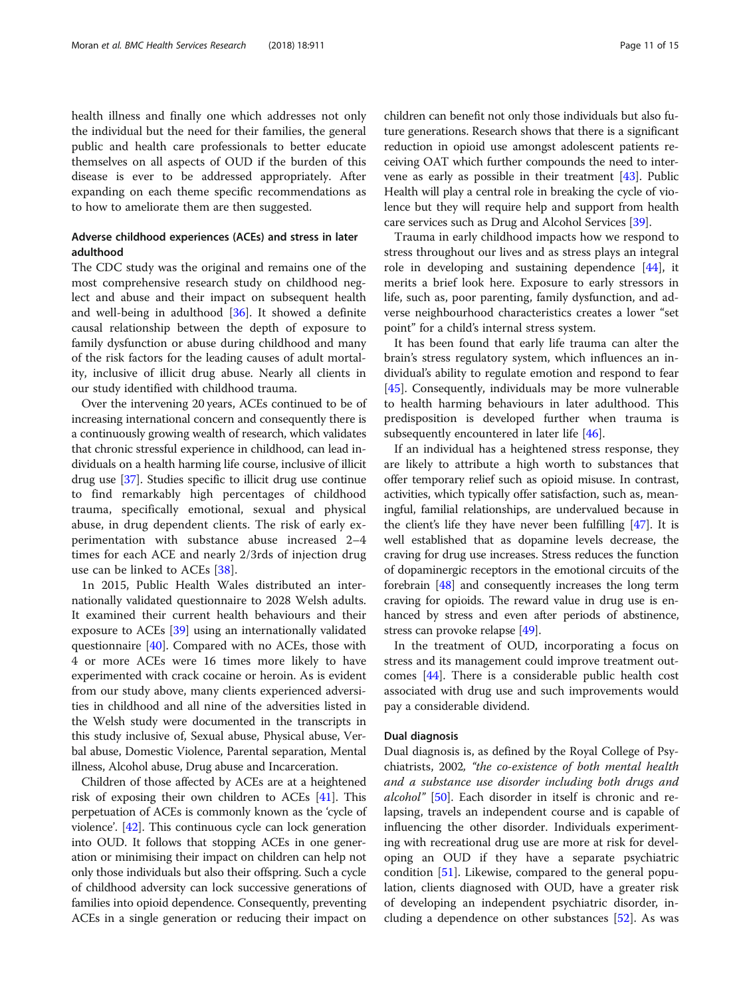health illness and finally one which addresses not only the individual but the need for their families, the general public and health care professionals to better educate themselves on all aspects of OUD if the burden of this disease is ever to be addressed appropriately. After expanding on each theme specific recommendations as to how to ameliorate them are then suggested.

### Adverse childhood experiences (ACEs) and stress in later adulthood

The CDC study was the original and remains one of the most comprehensive research study on childhood neglect and abuse and their impact on subsequent health and well-being in adulthood [[36\]](#page-13-0). It showed a definite causal relationship between the depth of exposure to family dysfunction or abuse during childhood and many of the risk factors for the leading causes of adult mortality, inclusive of illicit drug abuse. Nearly all clients in our study identified with childhood trauma.

Over the intervening 20 years, ACEs continued to be of increasing international concern and consequently there is a continuously growing wealth of research, which validates that chronic stressful experience in childhood, can lead individuals on a health harming life course, inclusive of illicit drug use [\[37](#page-13-0)]. Studies specific to illicit drug use continue to find remarkably high percentages of childhood trauma, specifically emotional, sexual and physical abuse, in drug dependent clients. The risk of early experimentation with substance abuse increased 2–4 times for each ACE and nearly 2/3rds of injection drug use can be linked to ACEs [[38\]](#page-13-0).

1n 2015, Public Health Wales distributed an internationally validated questionnaire to 2028 Welsh adults. It examined their current health behaviours and their exposure to ACEs [\[39](#page-13-0)] using an internationally validated questionnaire [[40\]](#page-13-0). Compared with no ACEs, those with 4 or more ACEs were 16 times more likely to have experimented with crack cocaine or heroin. As is evident from our study above, many clients experienced adversities in childhood and all nine of the adversities listed in the Welsh study were documented in the transcripts in this study inclusive of, Sexual abuse, Physical abuse, Verbal abuse, Domestic Violence, Parental separation, Mental illness, Alcohol abuse, Drug abuse and Incarceration.

Children of those affected by ACEs are at a heightened risk of exposing their own children to ACEs [\[41\]](#page-13-0). This perpetuation of ACEs is commonly known as the 'cycle of violence'. [[42](#page-13-0)]. This continuous cycle can lock generation into OUD. It follows that stopping ACEs in one generation or minimising their impact on children can help not only those individuals but also their offspring. Such a cycle of childhood adversity can lock successive generations of families into opioid dependence. Consequently, preventing ACEs in a single generation or reducing their impact on children can benefit not only those individuals but also future generations. Research shows that there is a significant reduction in opioid use amongst adolescent patients receiving OAT which further compounds the need to intervene as early as possible in their treatment [\[43](#page-13-0)]. Public Health will play a central role in breaking the cycle of violence but they will require help and support from health care services such as Drug and Alcohol Services [\[39\]](#page-13-0).

Trauma in early childhood impacts how we respond to stress throughout our lives and as stress plays an integral role in developing and sustaining dependence [\[44](#page-13-0)], it merits a brief look here. Exposure to early stressors in life, such as, poor parenting, family dysfunction, and adverse neighbourhood characteristics creates a lower "set point" for a child's internal stress system.

It has been found that early life trauma can alter the brain's stress regulatory system, which influences an individual's ability to regulate emotion and respond to fear [[45\]](#page-13-0). Consequently, individuals may be more vulnerable to health harming behaviours in later adulthood. This predisposition is developed further when trauma is subsequently encountered in later life [[46\]](#page-13-0).

If an individual has a heightened stress response, they are likely to attribute a high worth to substances that offer temporary relief such as opioid misuse. In contrast, activities, which typically offer satisfaction, such as, meaningful, familial relationships, are undervalued because in the client's life they have never been fulfilling [[47](#page-13-0)]. It is well established that as dopamine levels decrease, the craving for drug use increases. Stress reduces the function of dopaminergic receptors in the emotional circuits of the forebrain [\[48](#page-13-0)] and consequently increases the long term craving for opioids. The reward value in drug use is enhanced by stress and even after periods of abstinence, stress can provoke relapse [\[49](#page-13-0)].

In the treatment of OUD, incorporating a focus on stress and its management could improve treatment outcomes [\[44](#page-13-0)]. There is a considerable public health cost associated with drug use and such improvements would pay a considerable dividend.

#### Dual diagnosis

Dual diagnosis is, as defined by the Royal College of Psychiatrists, 2002, "the co-existence of both mental health and a substance use disorder including both drugs and alcohol" [[50\]](#page-13-0). Each disorder in itself is chronic and relapsing, travels an independent course and is capable of influencing the other disorder. Individuals experimenting with recreational drug use are more at risk for developing an OUD if they have a separate psychiatric condition [\[51](#page-13-0)]. Likewise, compared to the general population, clients diagnosed with OUD, have a greater risk of developing an independent psychiatric disorder, including a dependence on other substances  $[52]$  $[52]$ . As was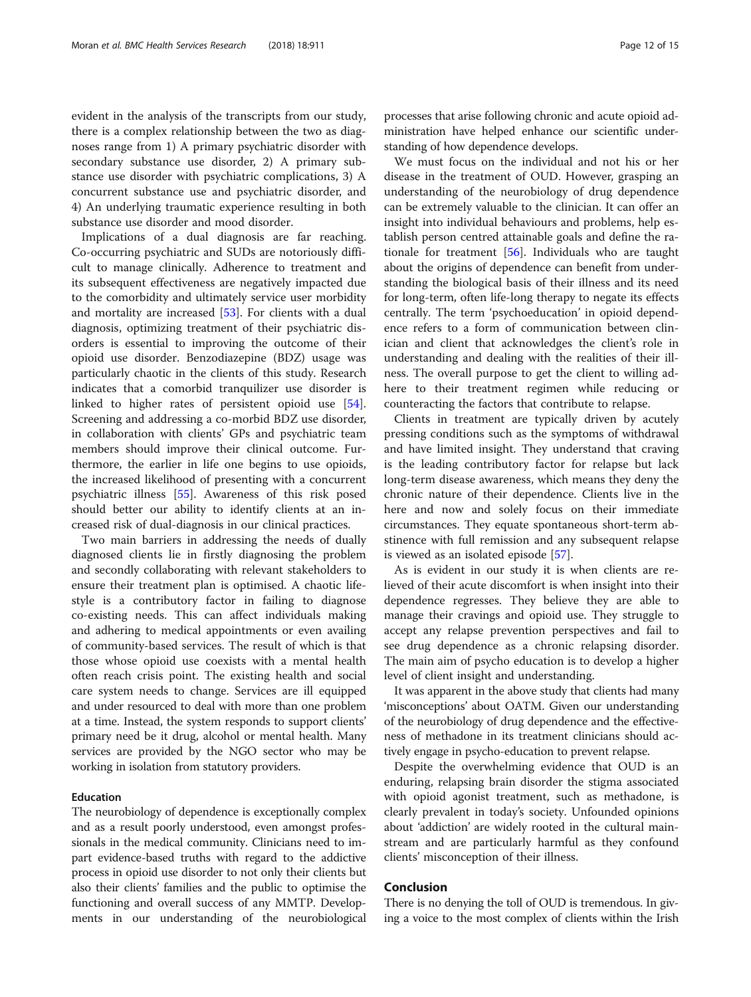evident in the analysis of the transcripts from our study, there is a complex relationship between the two as diagnoses range from 1) A primary psychiatric disorder with secondary substance use disorder, 2) A primary substance use disorder with psychiatric complications, 3) A concurrent substance use and psychiatric disorder, and 4) An underlying traumatic experience resulting in both substance use disorder and mood disorder.

Implications of a dual diagnosis are far reaching. Co-occurring psychiatric and SUDs are notoriously difficult to manage clinically. Adherence to treatment and its subsequent effectiveness are negatively impacted due to the comorbidity and ultimately service user morbidity and mortality are increased [\[53](#page-14-0)]. For clients with a dual diagnosis, optimizing treatment of their psychiatric disorders is essential to improving the outcome of their opioid use disorder. Benzodiazepine (BDZ) usage was particularly chaotic in the clients of this study. Research indicates that a comorbid tranquilizer use disorder is linked to higher rates of persistent opioid use [\[54](#page-14-0)]. Screening and addressing a co-morbid BDZ use disorder, in collaboration with clients' GPs and psychiatric team members should improve their clinical outcome. Furthermore, the earlier in life one begins to use opioids, the increased likelihood of presenting with a concurrent psychiatric illness [[55](#page-14-0)]. Awareness of this risk posed should better our ability to identify clients at an increased risk of dual-diagnosis in our clinical practices.

Two main barriers in addressing the needs of dually diagnosed clients lie in firstly diagnosing the problem and secondly collaborating with relevant stakeholders to ensure their treatment plan is optimised. A chaotic lifestyle is a contributory factor in failing to diagnose co-existing needs. This can affect individuals making and adhering to medical appointments or even availing of community-based services. The result of which is that those whose opioid use coexists with a mental health often reach crisis point. The existing health and social care system needs to change. Services are ill equipped and under resourced to deal with more than one problem at a time. Instead, the system responds to support clients' primary need be it drug, alcohol or mental health. Many services are provided by the NGO sector who may be working in isolation from statutory providers.

### Education

The neurobiology of dependence is exceptionally complex and as a result poorly understood, even amongst professionals in the medical community. Clinicians need to impart evidence-based truths with regard to the addictive process in opioid use disorder to not only their clients but also their clients' families and the public to optimise the functioning and overall success of any MMTP. Developments in our understanding of the neurobiological

processes that arise following chronic and acute opioid administration have helped enhance our scientific understanding of how dependence develops.

We must focus on the individual and not his or her disease in the treatment of OUD. However, grasping an understanding of the neurobiology of drug dependence can be extremely valuable to the clinician. It can offer an insight into individual behaviours and problems, help establish person centred attainable goals and define the rationale for treatment [\[56](#page-14-0)]. Individuals who are taught about the origins of dependence can benefit from understanding the biological basis of their illness and its need for long-term, often life-long therapy to negate its effects centrally. The term 'psychoeducation' in opioid dependence refers to a form of communication between clinician and client that acknowledges the client's role in understanding and dealing with the realities of their illness. The overall purpose to get the client to willing adhere to their treatment regimen while reducing or counteracting the factors that contribute to relapse.

Clients in treatment are typically driven by acutely pressing conditions such as the symptoms of withdrawal and have limited insight. They understand that craving is the leading contributory factor for relapse but lack long-term disease awareness, which means they deny the chronic nature of their dependence. Clients live in the here and now and solely focus on their immediate circumstances. They equate spontaneous short-term abstinence with full remission and any subsequent relapse is viewed as an isolated episode [[57\]](#page-14-0).

As is evident in our study it is when clients are relieved of their acute discomfort is when insight into their dependence regresses. They believe they are able to manage their cravings and opioid use. They struggle to accept any relapse prevention perspectives and fail to see drug dependence as a chronic relapsing disorder. The main aim of psycho education is to develop a higher level of client insight and understanding.

It was apparent in the above study that clients had many 'misconceptions' about OATM. Given our understanding of the neurobiology of drug dependence and the effectiveness of methadone in its treatment clinicians should actively engage in psycho-education to prevent relapse.

Despite the overwhelming evidence that OUD is an enduring, relapsing brain disorder the stigma associated with opioid agonist treatment, such as methadone, is clearly prevalent in today's society. Unfounded opinions about 'addiction' are widely rooted in the cultural mainstream and are particularly harmful as they confound clients' misconception of their illness.

## Conclusion

There is no denying the toll of OUD is tremendous. In giving a voice to the most complex of clients within the Irish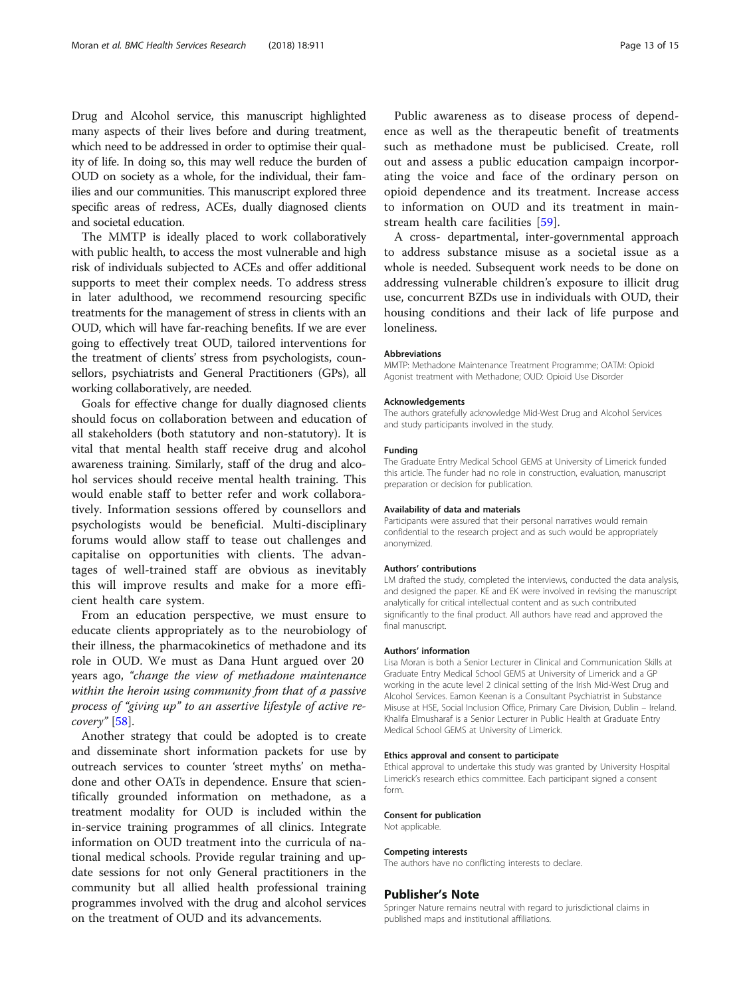Drug and Alcohol service, this manuscript highlighted many aspects of their lives before and during treatment, which need to be addressed in order to optimise their quality of life. In doing so, this may well reduce the burden of OUD on society as a whole, for the individual, their families and our communities. This manuscript explored three specific areas of redress, ACEs, dually diagnosed clients and societal education.

The MMTP is ideally placed to work collaboratively with public health, to access the most vulnerable and high risk of individuals subjected to ACEs and offer additional supports to meet their complex needs. To address stress in later adulthood, we recommend resourcing specific treatments for the management of stress in clients with an OUD, which will have far-reaching benefits. If we are ever going to effectively treat OUD, tailored interventions for the treatment of clients' stress from psychologists, counsellors, psychiatrists and General Practitioners (GPs), all working collaboratively, are needed.

Goals for effective change for dually diagnosed clients should focus on collaboration between and education of all stakeholders (both statutory and non-statutory). It is vital that mental health staff receive drug and alcohol awareness training. Similarly, staff of the drug and alcohol services should receive mental health training. This would enable staff to better refer and work collaboratively. Information sessions offered by counsellors and psychologists would be beneficial. Multi-disciplinary forums would allow staff to tease out challenges and capitalise on opportunities with clients. The advantages of well-trained staff are obvious as inevitably this will improve results and make for a more efficient health care system.

From an education perspective, we must ensure to educate clients appropriately as to the neurobiology of their illness, the pharmacokinetics of methadone and its role in OUD. We must as Dana Hunt argued over 20 years ago, "change the view of methadone maintenance within the heroin using community from that of a passive process of "giving up" to an assertive lifestyle of active recovery" [[58](#page-14-0)].

Another strategy that could be adopted is to create and disseminate short information packets for use by outreach services to counter 'street myths' on methadone and other OATs in dependence. Ensure that scientifically grounded information on methadone, as a treatment modality for OUD is included within the in-service training programmes of all clinics. Integrate information on OUD treatment into the curricula of national medical schools. Provide regular training and update sessions for not only General practitioners in the community but all allied health professional training programmes involved with the drug and alcohol services on the treatment of OUD and its advancements.

Public awareness as to disease process of dependence as well as the therapeutic benefit of treatments such as methadone must be publicised. Create, roll out and assess a public education campaign incorporating the voice and face of the ordinary person on opioid dependence and its treatment. Increase access to information on OUD and its treatment in mainstream health care facilities [[59\]](#page-14-0).

A cross- departmental, inter-governmental approach to address substance misuse as a societal issue as a whole is needed. Subsequent work needs to be done on addressing vulnerable children's exposure to illicit drug use, concurrent BZDs use in individuals with OUD, their housing conditions and their lack of life purpose and loneliness.

#### **Abbreviations**

MMTP: Methadone Maintenance Treatment Programme; OATM: Opioid Agonist treatment with Methadone; OUD: Opioid Use Disorder

#### Acknowledgements

The authors gratefully acknowledge Mid-West Drug and Alcohol Services and study participants involved in the study.

#### Funding

The Graduate Entry Medical School GEMS at University of Limerick funded this article. The funder had no role in construction, evaluation, manuscript preparation or decision for publication.

#### Availability of data and materials

Participants were assured that their personal narratives would remain confidential to the research project and as such would be appropriately anonymized.

#### Authors' contributions

LM drafted the study, completed the interviews, conducted the data analysis, and designed the paper. KE and EK were involved in revising the manuscript analytically for critical intellectual content and as such contributed significantly to the final product. All authors have read and approved the final manuscript.

#### Authors' information

Lisa Moran is both a Senior Lecturer in Clinical and Communication Skills at Graduate Entry Medical School GEMS at University of Limerick and a GP working in the acute level 2 clinical setting of the Irish Mid-West Drug and Alcohol Services. Eamon Keenan is a Consultant Psychiatrist in Substance Misuse at HSE, Social Inclusion Office, Primary Care Division, Dublin – Ireland. Khalifa Elmusharaf is a Senior Lecturer in Public Health at Graduate Entry Medical School GEMS at University of Limerick.

### Ethics approval and consent to participate

Ethical approval to undertake this study was granted by University Hospital Limerick's research ethics committee. Each participant signed a consent form.

#### Consent for publication

Not applicable.

#### Competing interests

The authors have no conflicting interests to declare.

#### Publisher's Note

Springer Nature remains neutral with regard to jurisdictional claims in published maps and institutional affiliations.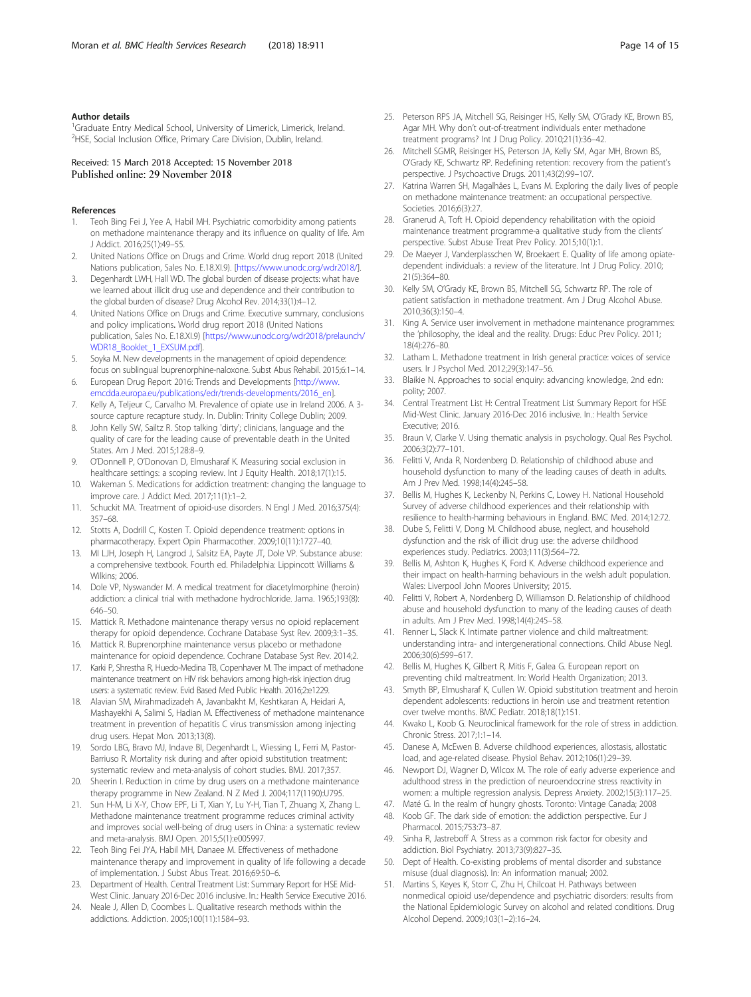#### <span id="page-13-0"></span>Author details

<sup>1</sup>Graduate Entry Medical School, University of Limerick, Limerick, Ireland. <sup>2</sup>HSE, Social Inclusion Office, Primary Care Division, Dublin, Ireland.

Received: 15 March 2018 Accepted: 15 November 2018 Published online: 29 November 2018

#### References

- Teoh Bing Fei J, Yee A, Habil MH. Psychiatric comorbidity among patients on methadone maintenance therapy and its influence on quality of life. Am J Addict. 2016;25(1):49–55.
- 2. United Nations Office on Drugs and Crime. World drug report 2018 (United Nations publication, Sales No. E.18.XI.9). [[https://www.unodc.org/wdr2018/\]](https://www.unodc.org/wdr2018/).
- 3. Degenhardt LWH, Hall WD. The global burden of disease projects: what have we learned about illicit drug use and dependence and their contribution to the global burden of disease? Drug Alcohol Rev. 2014;33(1):4–12.
- 4. United Nations Office on Drugs and Crime. Executive summary, conclusions and policy implications. World drug report 2018 (United Nations publication, Sales No. E.18.XI.9) [[https://www.unodc.org/wdr2018/prelaunch/](https://www.unodc.org/wdr2018/prelaunch/WDR18_Booklet_1_EXSUM.pdf) [WDR18\\_Booklet\\_1\\_EXSUM.pdf\]](https://www.unodc.org/wdr2018/prelaunch/WDR18_Booklet_1_EXSUM.pdf).
- 5. Soyka M. New developments in the management of opioid dependence: focus on sublingual buprenorphine-naloxone. Subst Abus Rehabil. 2015;6:1–14.
- 6. European Drug Report 2016: Trends and Developments [[http://www.](http://www.emcdda.europa.eu/publications/edr/trends-developments/2016_en) [emcdda.europa.eu/publications/edr/trends-developments/2016\\_en](http://www.emcdda.europa.eu/publications/edr/trends-developments/2016_en)].
- 7. Kelly A, Teljeur C, Carvalho M. Prevalence of opiate use in Ireland 2006. A 3 source capture recapture study. In. Dublin: Trinity College Dublin; 2009.
- 8. John Kelly SW, Sailtz R. Stop talking 'dirty'; clinicians, language and the quality of care for the leading cause of preventable death in the United States. Am J Med. 2015;128:8–9.
- 9. O'Donnell P, O'Donovan D, Elmusharaf K. Measuring social exclusion in healthcare settings: a scoping review. Int J Equity Health. 2018;17(1):15.
- 10. Wakeman S. Medications for addiction treatment: changing the language to improve care. J Addict Med. 2017;11(1):1–2.
- 11. Schuckit MA. Treatment of opioid-use disorders. N Engl J Med. 2016;375(4): 357–68.
- 12. Stotts A, Dodrill C, Kosten T. Opioid dependence treatment: options in pharmacotherapy. Expert Opin Pharmacother. 2009;10(11):1727–40.
- 13. MI LJH, Joseph H, Langrod J, Salsitz EA, Payte JT, Dole VP. Substance abuse: a comprehensive textbook. Fourth ed. Philadelphia: Lippincott Williams & Wilkins; 2006.
- 14. Dole VP, Nyswander M. A medical treatment for diacetylmorphine (heroin) addiction: a clinical trial with methadone hydrochloride. Jama. 1965;193(8): 646–50.
- 15. Mattick R. Methadone maintenance therapy versus no opioid replacement therapy for opioid dependence. Cochrane Database Syst Rev. 2009;3:1–35.
- 16. Mattick R. Buprenorphine maintenance versus placebo or methadone maintenance for opioid dependence. Cochrane Database Syst Rev. 2014;2.
- 17. Karki P, Shrestha R, Huedo-Medina TB, Copenhaver M. The impact of methadone maintenance treatment on HIV risk behaviors among high-risk injection drug users: a systematic review. Evid Based Med Public Health. 2016;2:e1229.
- 18. Alavian SM, Mirahmadizadeh A, Javanbakht M, Keshtkaran A, Heidari A, Mashayekhi A, Salimi S, Hadian M. Effectiveness of methadone maintenance treatment in prevention of hepatitis C virus transmission among injecting drug users. Hepat Mon. 2013;13(8).
- 19. Sordo LBG, Bravo MJ, Indave BI, Degenhardt L, Wiessing L, Ferri M, Pastor-Barriuso R. Mortality risk during and after opioid substitution treatment: systematic review and meta-analysis of cohort studies. BMJ. 2017;357.
- 20. Sheerin I. Reduction in crime by drug users on a methadone maintenance therapy programme in New Zealand. N Z Med J. 2004;117(1190):U795.
- 21. Sun H-M, Li X-Y, Chow EPF, Li T, Xian Y, Lu Y-H, Tian T, Zhuang X, Zhang L. Methadone maintenance treatment programme reduces criminal activity and improves social well-being of drug users in China: a systematic review and meta-analysis. BMJ Open. 2015;5(1):e005997.
- 22. Teoh Bing Fei JYA, Habil MH, Danaee M. Effectiveness of methadone maintenance therapy and improvement in quality of life following a decade of implementation. J Subst Abus Treat. 2016;69:50–6.
- 23. Department of Health. Central Treatment List: Summary Report for HSE Mid-West Clinic. January 2016-Dec 2016 inclusive. In.: Health Service Executive 2016.
- 24. Neale J, Allen D, Coombes L. Qualitative research methods within the addictions. Addiction. 2005;100(11):1584–93.
- 25. Peterson RPS JA, Mitchell SG, Reisinger HS, Kelly SM, O'Grady KE, Brown BS, Agar MH. Why don't out-of-treatment individuals enter methadone treatment programs? Int J Drug Policy. 2010;21(1):36–42.
- 26. Mitchell SGMR, Reisinger HS, Peterson JA, Kelly SM, Agar MH, Brown BS, O'Grady KE, Schwartz RP. Redefining retention: recovery from the patient's perspective. J Psychoactive Drugs. 2011;43(2):99–107.
- 27. Katrina Warren SH, Magalhães L, Evans M. Exploring the daily lives of people on methadone maintenance treatment: an occupational perspective. Societies. 2016;6(3):27.
- 28. Granerud A, Toft H. Opioid dependency rehabilitation with the opioid maintenance treatment programme-a qualitative study from the clients' perspective. Subst Abuse Treat Prev Policy. 2015;10(1):1.
- 29. De Maeyer J, Vanderplasschen W, Broekaert E. Quality of life among opiatedependent individuals: a review of the literature. Int J Drug Policy. 2010; 21(5):364–80.
- 30. Kelly SM, O'Grady KE, Brown BS, Mitchell SG, Schwartz RP. The role of patient satisfaction in methadone treatment. Am J Drug Alcohol Abuse. 2010;36(3):150–4.
- 31. King A. Service user involvement in methadone maintenance programmes: the 'philosophy, the ideal and the reality. Drugs: Educ Prev Policy. 2011; 18(4):276–80.
- 32. Latham L. Methadone treatment in Irish general practice: voices of service users. Ir J Psychol Med. 2012;29(3):147–56.
- 33. Blaikie N. Approaches to social enquiry: advancing knowledge, 2nd edn: polity; 2007.
- 34. Central Treatment List H: Central Treatment List Summary Report for HSE Mid-West Clinic. January 2016-Dec 2016 inclusive. In.: Health Service Executive; 2016.
- 35. Braun V, Clarke V. Using thematic analysis in psychology. Qual Res Psychol. 2006;3(2):77–101.
- 36. Felitti V, Anda R, Nordenberg D. Relationship of childhood abuse and household dysfunction to many of the leading causes of death in adults. Am J Prev Med. 1998;14(4):245–58.
- 37. Bellis M, Hughes K, Leckenby N, Perkins C, Lowey H. National Household Survey of adverse childhood experiences and their relationship with resilience to health-harming behaviours in England. BMC Med. 2014;12:72.
- 38. Dube S, Felitti V, Dong M. Childhood abuse, neglect, and household dysfunction and the risk of illicit drug use: the adverse childhood experiences study. Pediatrics. 2003;111(3):564–72.
- 39. Bellis M, Ashton K, Hughes K, Ford K. Adverse childhood experience and their impact on health-harming behaviours in the welsh adult population. Wales: Liverpool John Moores University; 2015.
- 40. Felitti V, Robert A, Nordenberg D, Williamson D. Relationship of childhood abuse and household dysfunction to many of the leading causes of death in adults. Am J Prev Med. 1998;14(4):245–58.
- 41. Renner L, Slack K. Intimate partner violence and child maltreatment: understanding intra- and intergenerational connections. Child Abuse Negl. 2006;30(6):599–617.
- 42. Bellis M, Hughes K, Gilbert R, Mitis F, Galea G. European report on preventing child maltreatment. In: World Health Organization; 2013.
- 43. Smyth BP, Elmusharaf K, Cullen W. Opioid substitution treatment and heroin dependent adolescents: reductions in heroin use and treatment retention over twelve months. BMC Pediatr. 2018;18(1):151.
- Kwako L, Koob G. Neuroclinical framework for the role of stress in addiction. Chronic Stress. 2017;1:1–14.
- 45. Danese A, McEwen B. Adverse childhood experiences, allostasis, allostatic load, and age-related disease. Physiol Behav. 2012;106(1):29–39.
- 46. Newport DJ, Wagner D, Wilcox M. The role of early adverse experience and adulthood stress in the prediction of neuroendocrine stress reactivity in women: a multiple regression analysis. Depress Anxiety. 2002;15(3):117–25.
- 47. Maté G. In the realm of hungry ghosts. Toronto: Vintage Canada; 2008
- 48. Koob GF. The dark side of emotion: the addiction perspective. Eur J Pharmacol. 2015;753:73–87.
- 49. Sinha R, Jastreboff A. Stress as a common risk factor for obesity and addiction. Biol Psychiatry. 2013;73(9):827–35.
- 50. Dept of Health. Co-existing problems of mental disorder and substance misuse (dual diagnosis). In: An information manual; 2002.
- 51. Martins S, Keyes K, Storr C, Zhu H, Chilcoat H. Pathways between nonmedical opioid use/dependence and psychiatric disorders: results from the National Epidemiologic Survey on alcohol and related conditions. Drug Alcohol Depend. 2009;103(1–2):16–24.